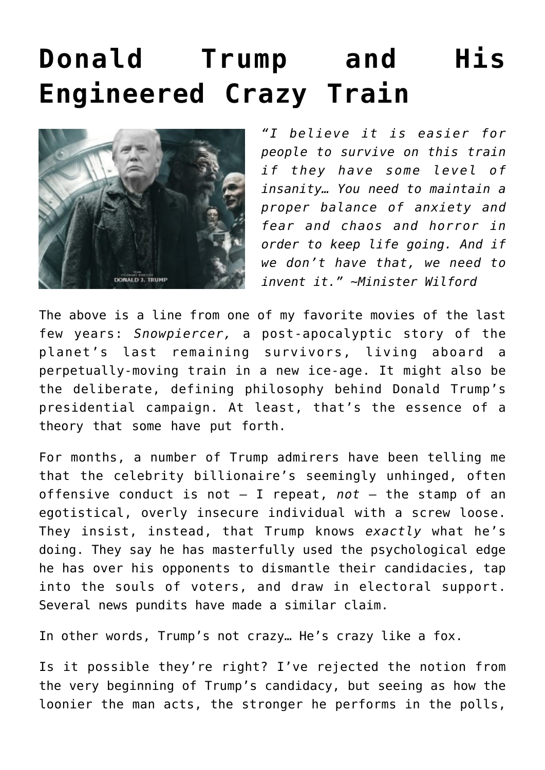## **[Donald Trump and His](https://bernardgoldberg.com/donald-trump-and-his-engineered-crazy-train/) [Engineered Crazy Train](https://bernardgoldberg.com/donald-trump-and-his-engineered-crazy-train/)**



*"I believe it is easier for people to survive on this train if they have some level of insanity… You need to maintain a proper balance of anxiety and fear and chaos and horror in order to keep life going. And if we don't have that, we need to invent it." ~Minister Wilford*

The above is a line from one of my favorite movies of the last few years: *Snowpiercer,* a post-apocalyptic story of the planet's last remaining survivors, living aboard a perpetually-moving train in a new ice-age. It might also be the deliberate, defining philosophy behind Donald Trump's presidential campaign. At least, that's the essence of a theory that some have put forth.

For months, a number of Trump admirers have been telling me that the celebrity billionaire's seemingly unhinged, often offensive conduct is not ― I repeat, *not* ― the stamp of an egotistical, overly insecure individual with a screw loose. They insist, instead, that Trump knows *exactly* what he's doing. They say he has masterfully used the psychological edge he has over his opponents to dismantle their candidacies, tap into the souls of voters, and draw in electoral support. Several news pundits have made a similar claim.

In other words, Trump's not crazy… He's crazy like a fox.

Is it possible they're right? I've rejected the notion from the very beginning of Trump's candidacy, but seeing as how the loonier the man acts, the stronger he performs in the polls,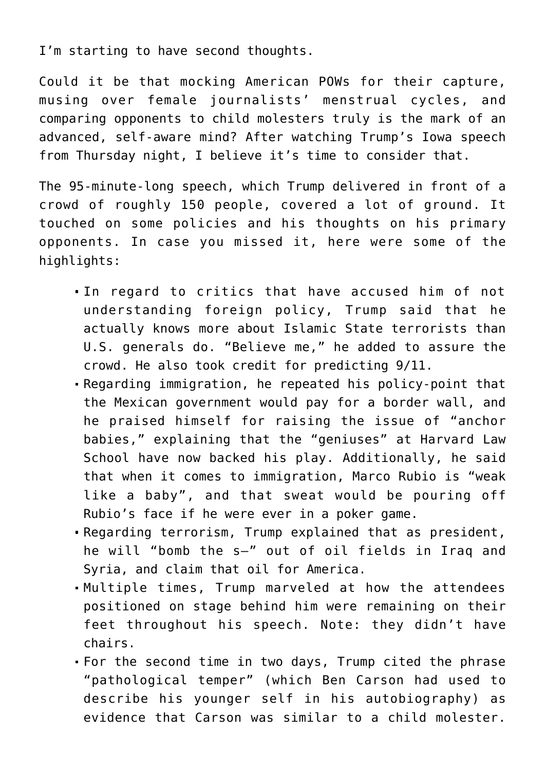I'm starting to have second thoughts.

Could it be that mocking American POWs for their capture, musing over female journalists' menstrual cycles, and comparing opponents to child molesters truly is the mark of an advanced, self-aware mind? After watching Trump's [Iowa speech](https://youtu.be/FtNkth-omw4?t=39m25s) from Thursday night, I believe it's time to consider that.

The 95-minute-long speech, which [Trump delivered in front of a](https://www.washingtonpost.com/news/post-politics/wp/2015/11/12/donald-trump-delivers-95-minute-rant-on-everything-thats-wrong-in-this-race/) [crowd of roughly 150 people,](https://www.washingtonpost.com/news/post-politics/wp/2015/11/12/donald-trump-delivers-95-minute-rant-on-everything-thats-wrong-in-this-race/) covered a lot of ground. It touched on some policies and his thoughts on his primary opponents. In case you missed it, here were some of the highlights:

- In regard to critics that have accused him of not understanding foreign policy, Trump said that he actually knows more about Islamic State terrorists than U.S. generals do. "Believe me," he added to assure the crowd. He also took credit for predicting 9/11.
- Regarding immigration, he repeated his policy-point that the Mexican government would pay for a border wall, and he praised himself for raising the issue of "anchor babies," explaining that the "geniuses" at Harvard Law School have now backed his play. Additionally, he said that when it comes to immigration, Marco Rubio is "weak like a baby", and that sweat would be pouring off Rubio's face if he were ever in a poker game.
- Regarding terrorism, Trump explained that as president, he will "bomb the s—" out of oil fields in Iraq and Syria, and claim that oil for America.
- Multiple times, Trump marveled at how the attendees positioned on stage behind him were remaining on their feet throughout his speech. Note: they didn't have chairs.
- For the second time in two days, Trump cited the phrase "pathological temper" (which Ben Carson had used to describe his younger self in his autobiography) as evidence that Carson was similar to a child molester.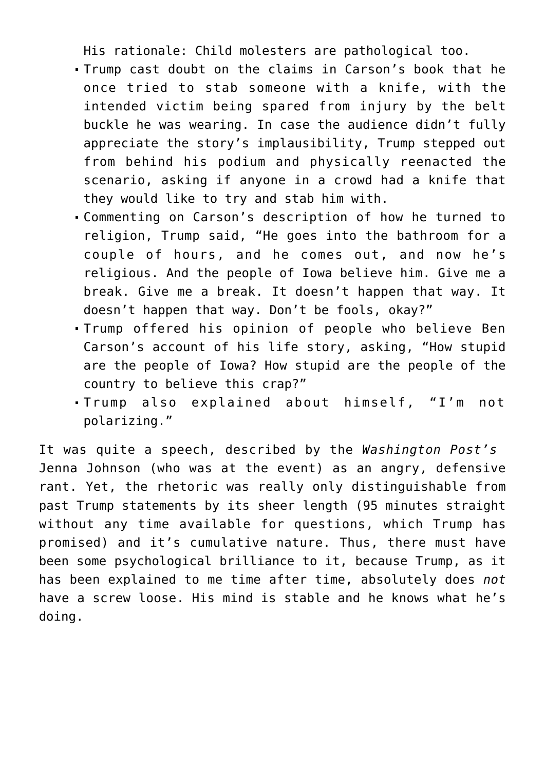His rationale: Child molesters are pathological too.

- Trump cast doubt on the claims in Carson's book that he once tried to stab someone with a knife, with the intended victim being spared from injury by the belt buckle he was wearing. In case the audience didn't fully appreciate the story's implausibility, Trump stepped out from behind his podium and physically reenacted the scenario, asking if anyone in a crowd had a knife that they would like to try and stab him with.
- Commenting on Carson's description of how he turned to religion, Trump said, "He goes into the bathroom for a couple of hours, and he comes out, and now he's religious. And the people of Iowa believe him. Give me a break. Give me a break. It doesn't happen that way. It doesn't happen that way. Don't be fools, okay?"
- Trump offered his opinion of people who believe Ben Carson's account of his life story, asking, "How stupid are the people of Iowa? How stupid are the people of the country to believe this crap?"
- Trump also explained about himself, "I'm not polarizing."

It was quite a speech, described by the *Washington Post's* Jenna Johnson (who was at the event) as an angry, defensive rant. Yet, the rhetoric was really only distinguishable from past Trump statements by its sheer length (95 minutes straight without any time available for questions, which Trump has promised) and it's cumulative nature. Thus, there must have been some psychological brilliance to it, because Trump, as it has been explained to me time after time, absolutely does *not* have a screw loose. His mind is stable and he knows what he's doing.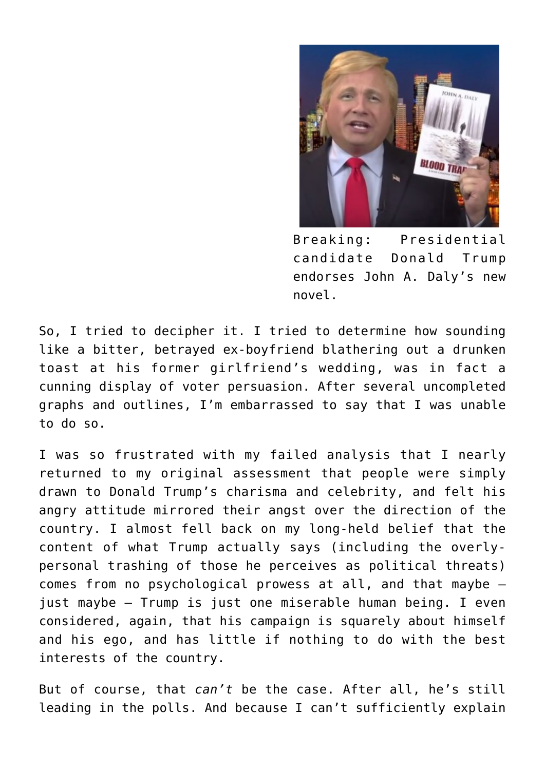

Breaking: Presidential candidate Donald Trump endorses John A. Daly's new novel.

So, I tried to decipher it. I tried to determine how sounding like a bitter, betrayed ex-boyfriend blathering out a drunken toast at his former girlfriend's wedding, was in fact a cunning display of voter persuasion. After several uncompleted graphs and outlines, I'm embarrassed to say that I was unable to do so.

I was so frustrated with my failed analysis that I nearly returned to my original assessment that people were simply drawn to Donald Trump's charisma and celebrity, and felt his angry attitude mirrored their angst over the direction of the country. I almost fell back on my long-held belief that the content of what Trump actually says (including the overlypersonal trashing of those he perceives as political threats) comes from no psychological prowess at all, and that maybe ― just maybe ― Trump is just one miserable human being. I even considered, again, that his campaign is squarely about himself and his ego, and has little if nothing to do with the best interests of the country.

But of course, that *can't* be the case. After all, he's still leading in the polls. And because I can't sufficiently explain